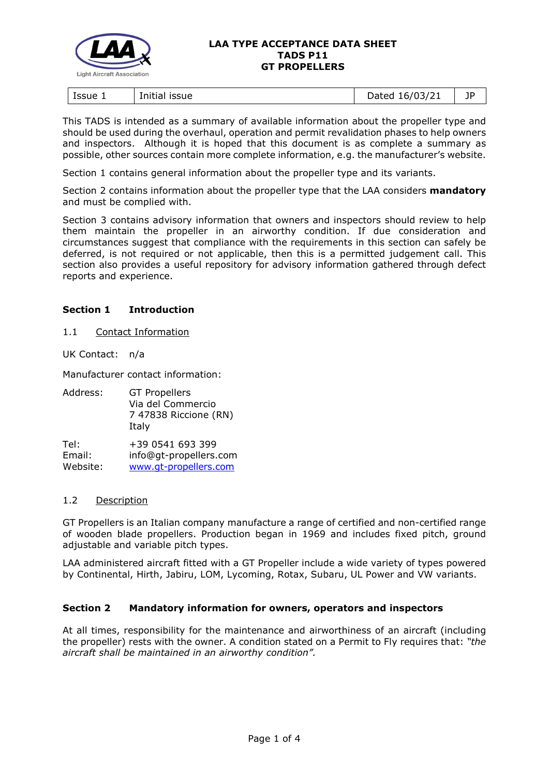

#### **LAA TYPE ACCEPTANCE DATA SHEET TADS P11 GT PROPELLERS**

| Issue 1<br>issue<br>Initial | 16/03/21<br>)ated<br>pucco | ПD |
|-----------------------------|----------------------------|----|
|-----------------------------|----------------------------|----|

This TADS is intended as a summary of available information about the propeller type and should be used during the overhaul, operation and permit revalidation phases to help owners and inspectors. Although it is hoped that this document is as complete a summary as possible, other sources contain more complete information, e.g. the manufacturer's website.

Section 1 contains general information about the propeller type and its variants.

Section 2 contains information about the propeller type that the LAA considers **mandatory** and must be complied with.

Section 3 contains advisory information that owners and inspectors should review to help them maintain the propeller in an airworthy condition. If due consideration and circumstances suggest that compliance with the requirements in this section can safely be deferred, is not required or not applicable, then this is a permitted judgement call. This section also provides a useful repository for advisory information gathered through defect reports and experience.

# **Section 1 Introduction**

# 1.1 Contact Information

UK Contact: n/a

Manufacturer contact information:

| Address: | <b>GT Propellers</b><br>Via del Commercio<br>7 47838 Riccione (RN)<br>Italy |
|----------|-----------------------------------------------------------------------------|
| Tel:     | +39 0541 693 399                                                            |
| Email:   | info@gt-propellers.com                                                      |
| Website: | www.gt-propellers.com                                                       |

# 1.2 Description

GT Propellers is an Italian company manufacture a range of certified and non-certified range of wooden blade propellers. Production began in 1969 and includes fixed pitch, ground adjustable and variable pitch types.

LAA administered aircraft fitted with a GT Propeller include a wide variety of types powered by Continental, Hirth, Jabiru, LOM, Lycoming, Rotax, Subaru, UL Power and VW variants.

# **Section 2 Mandatory information for owners, operators and inspectors**

At all times, responsibility for the maintenance and airworthiness of an aircraft (including the propeller) rests with the owner. A condition stated on a Permit to Fly requires that: *"the aircraft shall be maintained in an airworthy condition".*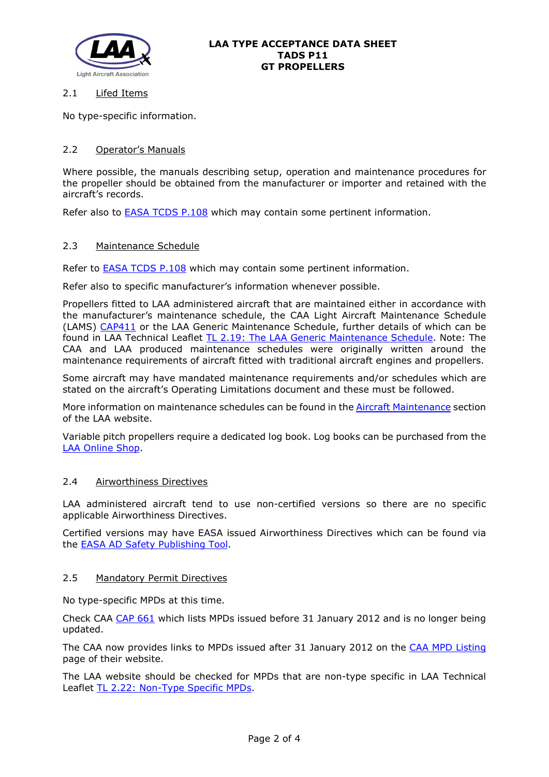

# 2.1 Lifed Items

No type-specific information.

# 2.2 Operator's Manuals

Where possible, the manuals describing setup, operation and maintenance procedures for the propeller should be obtained from the manufacturer or importer and retained with the aircraft's records.

Refer also to **EASA TCDS P.108** which may contain some pertinent information.

# 2.3 Maintenance Schedule

Refer to [EASA TCDS P.108](http://www.lightaircraftassociation.co.uk/engineering/TADs/P11/EASA-TCDS-P.108_GT_PROPELLERS.pdf) which may contain some pertinent information.

Refer also to specific manufacturer's information whenever possible.

Propellers fitted to LAA administered aircraft that are maintained either in accordance with the manufacturer's maintenance schedule, the CAA Light Aircraft Maintenance Schedule (LAMS) [CAP411](http://www.caa.co.uk/CAP411) or the LAA Generic Maintenance Schedule, further details of which can be found in LAA Technical Leaflet [TL 2.19: The LAA Generic Maintenance Schedule.](http://www.lightaircraftassociation.co.uk/engineering/TechnicalLeaflets/Operating%20An%20Aircraft/TL%202.19%20The%20LAA%20Generic%20Maintenance%20Schedule.pdf) Note: The CAA and LAA produced maintenance schedules were originally written around the maintenance requirements of aircraft fitted with traditional aircraft engines and propellers.

Some aircraft may have mandated maintenance requirements and/or schedules which are stated on the aircraft's Operating Limitations document and these must be followed.

More information on maintenance schedules can be found in the **Aircraft Maintenance** section of the LAA website.

Variable pitch propellers require a dedicated log book. Log books can be purchased from the [LAA Online Shop.](https://services.lightaircraftassociation.co.uk/catalog/265)

# 2.4 Airworthiness Directives

LAA administered aircraft tend to use non-certified versions so there are no specific applicable Airworthiness Directives.

Certified versions may have EASA issued Airworthiness Directives which can be found via the [EASA AD Safety Publishing Tool.](https://ad.easa.europa.eu/search/advanced)

# 2.5 Mandatory Permit Directives

No type-specific MPDs at this time.

Check CAA [CAP 661](http://www.caa.co.uk/cap661) which lists MPDs issued before 31 January 2012 and is no longer being updated.

The CAA now provides links to MPDs issued after 31 January 2012 on the [CAA MPD Listing](http://publicapps.caa.co.uk/modalapplication.aspx?appid=11&mode=list&type=sercat&id=55) page of their website.

The LAA website should be checked for MPDs that are non-type specific in LAA Technical Leaflet [TL 2.22: Non-Type Specific MPDs.](http://www.lightaircraftassociation.co.uk/engineering/TechnicalLeaflets/Operating%20An%20Aircraft/TL%202.22%20non-type%20specific%20MPDs.pdf)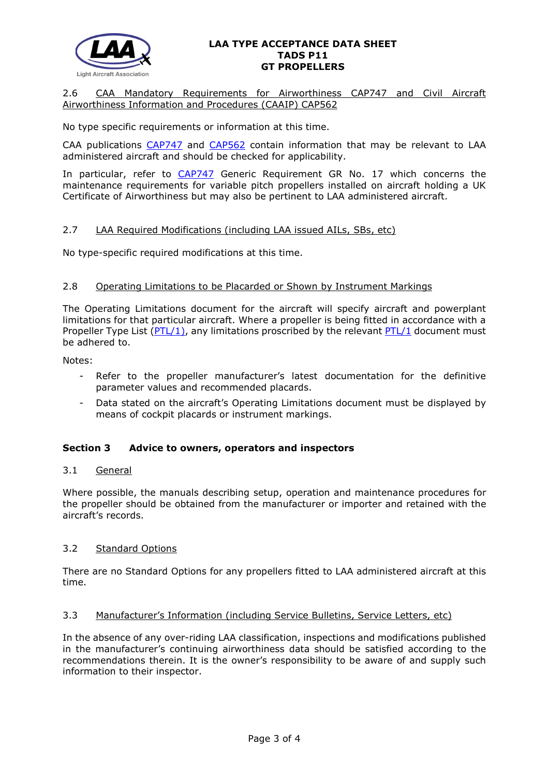

#### **LAA TYPE ACCEPTANCE DATA SHEET TADS P11 GT PROPELLERS**

# 2.6 CAA Mandatory Requirements for Airworthiness CAP747 and Civil Aircraft Airworthiness Information and Procedures (CAAIP) CAP562

No type specific requirements or information at this time.

CAA publications [CAP747](http://www.caa.co.uk/CAP747) and [CAP562](http://www.caa.co.uk/CAP562) contain information that may be relevant to LAA administered aircraft and should be checked for applicability.

In particular, refer to [CAP747](http://www.caa.co.uk/CAP747) Generic Requirement GR No. 17 which concerns the maintenance requirements for variable pitch propellers installed on aircraft holding a UK Certificate of Airworthiness but may also be pertinent to LAA administered aircraft.

# 2.7 LAA Required Modifications (including LAA issued AILs, SBs, etc)

No type-specific required modifications at this time.

#### 2.8 Operating Limitations to be Placarded or Shown by Instrument Markings

The Operating Limitations document for the aircraft will specify aircraft and powerplant limitations for that particular aircraft. Where a propeller is being fitted in accordance with a Propeller Type List ( $PTL/1$ ), any limitations proscribed by the relevant  $PTL/1$  document must be adhered to.

Notes:

- Refer to the propeller manufacturer's latest documentation for the definitive parameter values and recommended placards.
- Data stated on the aircraft's Operating Limitations document must be displayed by means of cockpit placards or instrument markings.

# **Section 3 Advice to owners, operators and inspectors**

#### 3.1 General

Where possible, the manuals describing setup, operation and maintenance procedures for the propeller should be obtained from the manufacturer or importer and retained with the aircraft's records.

# 3.2 Standard Options

There are no Standard Options for any propellers fitted to LAA administered aircraft at this time.

#### 3.3 Manufacturer's Information (including Service Bulletins, Service Letters, etc)

In the absence of any over-riding LAA classification, inspections and modifications published in the manufacturer's continuing airworthiness data should be satisfied according to the recommendations therein. It is the owner's responsibility to be aware of and supply such information to their inspector.